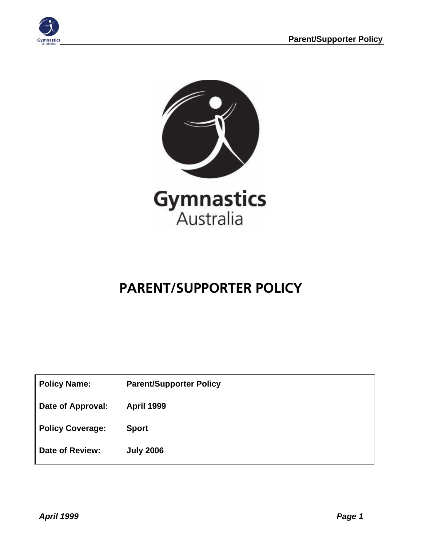



# **PARENT/SUPPORTER POLICY**

| <b>Policy Name:</b> | <b>Parent/Supporter Policy</b> |
|---------------------|--------------------------------|
|---------------------|--------------------------------|

**Date of Approval: April 1999** 

**Policy Coverage: Sport** 

**Date of Review: July 2006**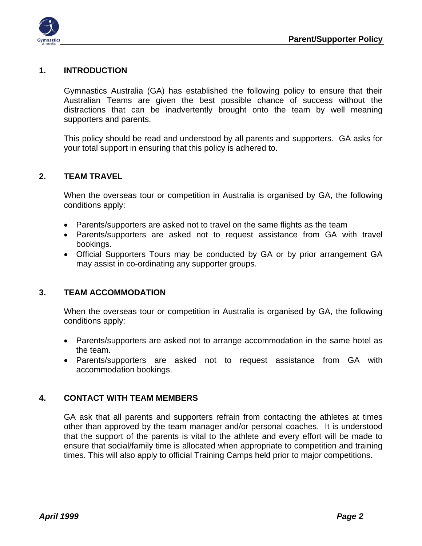

### **1. INTRODUCTION**

Gymnastics Australia (GA) has established the following policy to ensure that their Australian Teams are given the best possible chance of success without the distractions that can be inadvertently brought onto the team by well meaning supporters and parents.

This policy should be read and understood by all parents and supporters. GA asks for your total support in ensuring that this policy is adhered to.

#### **2. TEAM TRAVEL**

When the overseas tour or competition in Australia is organised by GA, the following conditions apply:

- Parents/supporters are asked not to travel on the same flights as the team
- Parents/supporters are asked not to request assistance from GA with travel bookings.
- Official Supporters Tours may be conducted by GA or by prior arrangement GA may assist in co-ordinating any supporter groups.

#### **3. TEAM ACCOMMODATION**

When the overseas tour or competition in Australia is organised by GA, the following conditions apply:

- Parents/supporters are asked not to arrange accommodation in the same hotel as the team.
- Parents/supporters are asked not to request assistance from GA with accommodation bookings.

#### **4. CONTACT WITH TEAM MEMBERS**

GA ask that all parents and supporters refrain from contacting the athletes at times other than approved by the team manager and/or personal coaches. It is understood that the support of the parents is vital to the athlete and every effort will be made to ensure that social/family time is allocated when appropriate to competition and training times. This will also apply to official Training Camps held prior to major competitions.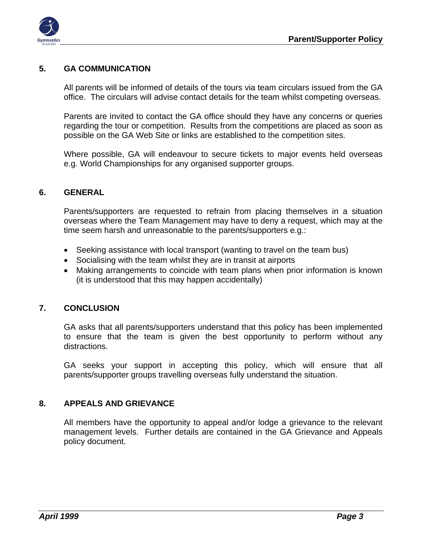

#### **5. GA COMMUNICATION**

All parents will be informed of details of the tours via team circulars issued from the GA office. The circulars will advise contact details for the team whilst competing overseas.

Parents are invited to contact the GA office should they have any concerns or queries regarding the tour or competition. Results from the competitions are placed as soon as possible on the GA Web Site or links are established to the competition sites.

Where possible, GA will endeavour to secure tickets to major events held overseas e.g. World Championships for any organised supporter groups.

#### **6. GENERAL**

Parents/supporters are requested to refrain from placing themselves in a situation overseas where the Team Management may have to deny a request, which may at the time seem harsh and unreasonable to the parents/supporters e.g.:

- Seeking assistance with local transport (wanting to travel on the team bus)
- Socialising with the team whilst they are in transit at airports
- Making arrangements to coincide with team plans when prior information is known (it is understood that this may happen accidentally)

#### **7. CONCLUSION**

GA asks that all parents/supporters understand that this policy has been implemented to ensure that the team is given the best opportunity to perform without any distractions.

GA seeks your support in accepting this policy, which will ensure that all parents/supporter groups travelling overseas fully understand the situation.

#### **8. APPEALS AND GRIEVANCE**

All members have the opportunity to appeal and/or lodge a grievance to the relevant management levels. Further details are contained in the GA Grievance and Appeals policy document.